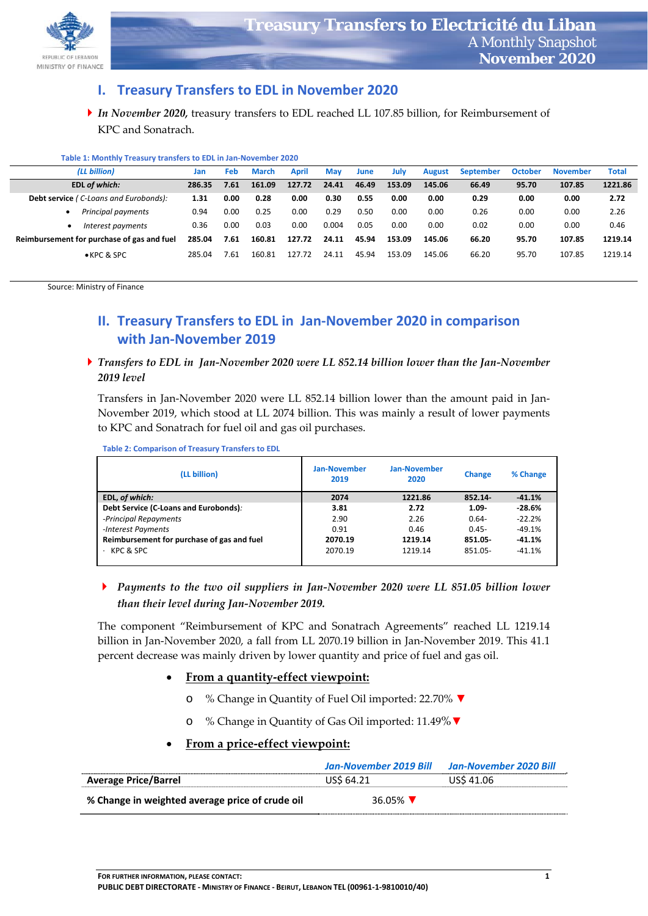

## **I. Treasury Transfers to EDL in November 2020**

*In November 2020,* treasury transfers to EDL reached LL 107.85 billion, for Reimbursement of KPC and Sonatrach.

| Table 1: Monthly Treasury transfers to EDL in Jan-November 2020 |        |      |              |        |            |       |        |               |                  |                |                 |              |
|-----------------------------------------------------------------|--------|------|--------------|--------|------------|-------|--------|---------------|------------------|----------------|-----------------|--------------|
| (LL billion)                                                    | Jan    | Feb  | <b>March</b> | April  | <b>May</b> | June  | Julv   | <b>August</b> | <b>September</b> | <b>October</b> | <b>November</b> | <b>Total</b> |
| EDL of which:                                                   | 286.35 | 7.61 | 161.09       | 127.72 | 24.41      | 46.49 | 153.09 | 145.06        | 66.49            | 95.70          | 107.85          | 1221.86      |
| Debt service (C-Loans and Eurobonds):                           | 1.31   | 0.00 | 0.28         | 0.00   | 0.30       | 0.55  | 0.00   | 0.00          | 0.29             | 0.00           | 0.00            | 2.72         |
| <b>Principal payments</b><br>$\bullet$                          | 0.94   | 0.00 | 0.25         | 0.00   | 0.29       | 0.50  | 0.00   | 0.00          | 0.26             | 0.00           | 0.00            | 2.26         |
| Interest payments                                               | 0.36   | 0.00 | 0.03         | 0.00   | 0.004      | 0.05  | 0.00   | 0.00          | 0.02             | 0.00           | 0.00            | 0.46         |
| Reimbursement for purchase of gas and fuel                      | 285.04 | 7.61 | 160.81       | 127.72 | 24.11      | 45.94 | 153.09 | 145.06        | 66.20            | 95.70          | 107.85          | 1219.14      |
| $\bullet$ KPC & SPC                                             | 285.04 | 7.61 | 160.81       | 127.72 | 24.11      | 45.94 | 153.09 | 145.06        | 66.20            | 95.70          | 107.85          | 1219.14      |

Source: Ministry of Finance

# **II. Treasury Transfers to EDL in Jan‐November 2020 in comparison with Jan‐November 2019**

### *Transfers to EDL in Jan‐November 2020 were LL 852.14 billion lower than the Jan‐November 2019 level*

Transfers in Jan‐November 2020 were LL 852.14 billion lower than the amount paid in Jan‐ November 2019, which stood at LL 2074 billion. This was mainly a result of lower payments to KPC and Sonatrach for fuel oil and gas oil purchases.

|--|--|

| (LL billion)                               | <b>Jan-November</b><br>2019 | <b>Jan-November</b><br>2020 | <b>Change</b> | % Change |
|--------------------------------------------|-----------------------------|-----------------------------|---------------|----------|
| EDL, of which:                             | 2074                        | 1221.86                     | $852.14 -$    | $-41.1%$ |
| Debt Service (C-Loans and Eurobonds):      | 3.81                        | 2.72                        | $1.09 -$      | $-28.6%$ |
| -Principal Repayments                      | 2.90                        | 2.26                        | $0.64 -$      | $-22.2%$ |
| -Interest Payments                         | 0.91                        | 0.46                        | $0.45 -$      | $-49.1%$ |
| Reimbursement for purchase of gas and fuel | 2070.19                     | 1219.14                     | 851.05        | $-41.1%$ |
| KPC & SPC                                  | 2070.19                     | 1219.14                     | 851.05-       | $-41.1%$ |

### *Payments to the two oil suppliers in Jan‐November 2020 were LL 851.05 billion lower than their level during Jan‐November 2019.*

The component "Reimbursement of KPC and Sonatrach Agreements" reached LL 1219.14 billion in Jan‐November 2020, a fall from LL 2070.19 billion in Jan‐November 2019. This 41.1 percent decrease was mainly driven by lower quantity and price of fuel and gas oil.

#### **From a quantity‐effect viewpoint:**

- o % Change in Quantity of Fuel Oil imported: 22.70% **▼**
- o % Change in Quantity of Gas Oil imported: 11.49%**▼**

### **From a price‐effect viewpoint:**

|                                                 | Jan-November 2019 Bill | Jan-November 2020 Bill |
|-------------------------------------------------|------------------------|------------------------|
| <b>Average Price/Barrel</b>                     | US\$ 64.21             | US\$ 41.06             |
| % Change in weighted average price of crude oil | 36.05% V               |                        |